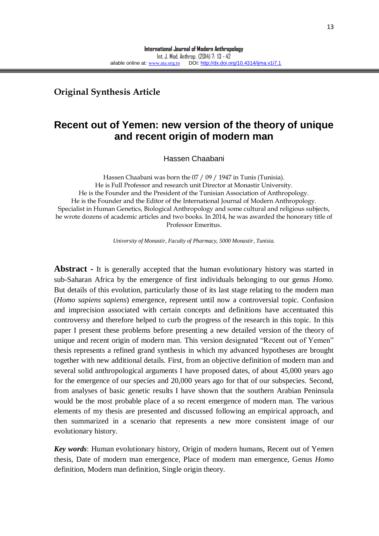**Original Synthesis Article**

# **Recent out of Yemen: new version of the theory of unique and recent origin of modern man**

Hassen Chaabani

Hassen Chaabani was born the 07 / 09 / 1947 in Tunis (Tunisia). He is Full Professor and research unit Director at Monastir University. He is the Founder and the President of the Tunisian Association of Anthropology. He is the Founder and the Editor of the International Journal of Modern Anthropology. Specialist in Human Genetics, Biological Anthropology and some cultural and religious subjects, he wrote dozens of academic articles and two books. In 2014, he was awarded the honorary title of Professor Emeritus.

*University of Monastir, Faculty of Pharmacy, 5000 Monastir, Tunisia.*

**Abstract** - It is generally accepted that the human evolutionary history was started in sub-Saharan Africa by the emergence of first individuals belonging to our genus *Homo.* But details of this evolution, particularly those of its last stage relating to the modern man (*Homo sapiens sapiens*) emergence, represent until now a controversial topic. Confusion and imprecision associated with certain concepts and definitions have accentuated this controversy and therefore helped to curb the progress of the research in this topic. In this paper I present these problems before presenting a new detailed version of the theory of unique and recent origin of modern man. This version designated "Recent out of Yemen" thesis represents a refined grand synthesis in which my advanced hypotheses are brought together with new additional details. First, from an objective definition of modern man and several solid anthropological arguments I have proposed dates, of about 45,000 years ago for the emergence of our species and 20,000 years ago for that of our subspecies. Second, from analyses of basic genetic results I have shown that the southern Arabian Peninsula would be the most probable place of a so recent emergence of modern man. The various elements of my thesis are presented and discussed following an empirical approach, and then summarized in a scenario that represents a new more consistent image of our evolutionary history.

*Key words*: Human evolutionary history, Origin of modern humans, Recent out of Yemen thesis, Date of modern man emergence, Place of modern man emergence, Genus *Homo* definition, Modern man definition, Single origin theory.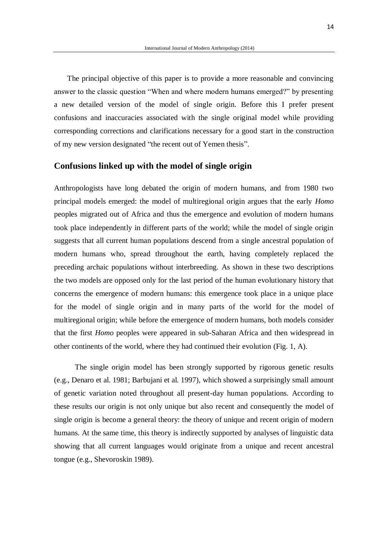The principal objective of this paper is to provide a more reasonable and convincing answer to the classic question "When and where modern humans emerged?" by presenting a new detailed version of the model of single origin. Before this I prefer present confusions and inaccuracies associated with the single original model while providing corresponding corrections and clarifications necessary for a good start in the construction of my new version designated "the recent out of Yemen thesis".

## **Confusions linked up with the model of single origin**

Anthropologists have long debated the origin of modern humans, and from 1980 two principal models emerged: the model of multiregional origin argues that the early *Homo* peoples migrated out of Africa and thus the emergence and evolution of modern humans took place independently in different parts of the world; while the model of single origin suggests that all current human populations descend from a single ancestral population of modern humans who, spread throughout the earth, having completely replaced the preceding archaic populations without interbreeding. As shown in these two descriptions the two models are opposed only for the last period of the human evolutionary history that concerns the emergence of modern humans: this emergence took place in a unique place for the model of single origin and in many parts of the world for the model of multiregional origin; while before the emergence of modern humans, both models consider that the first *Homo* peoples were appeared in sub-Saharan Africa and then widespread in other continents of the world, where they had continued their evolution (Fig. 1, A).

 The single origin model has been strongly supported by rigorous genetic results (e.g., Denaro et al. 1981; Barbujani et al. 1997), which showed a surprisingly small amount of genetic variation noted throughout all present-day human populations. According to these results our origin is not only unique but also recent and consequently the model of single origin is become a general theory: the theory of unique and recent origin of modern humans. At the same time, this theory is indirectly supported by analyses of linguistic data showing that all current languages would originate from a unique and recent ancestral tongue (e.g., Shevoroskin 1989).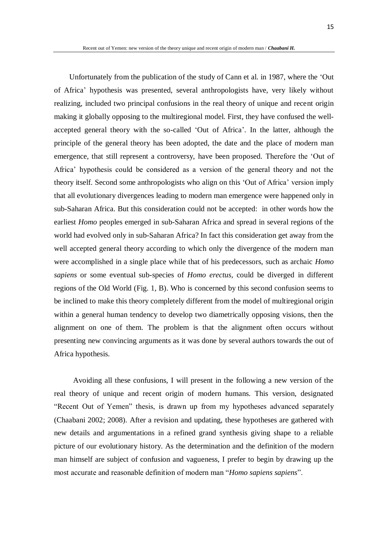Unfortunately from the publication of the study of Cann et al. in 1987, where the 'Out of Africa' hypothesis was presented, several anthropologists have, very likely without realizing, included two principal confusions in the real theory of unique and recent origin making it globally opposing to the multiregional model. First, they have confused the wellaccepted general theory with the so-called 'Out of Africa'. In the latter, although the principle of the general theory has been adopted, the date and the place of modern man emergence, that still represent a controversy, have been proposed. Therefore the 'Out of Africa' hypothesis could be considered as a version of the general theory and not the theory itself. Second some anthropologists who align on this 'Out of Africa' version imply that all evolutionary divergences leading to modern man emergence were happened only in sub-Saharan Africa. But this consideration could not be accepted: in other words how the earliest *Homo* peoples emerged in sub-Saharan Africa and spread in several regions of the world had evolved only in sub-Saharan Africa? In fact this consideration get away from the well accepted general theory according to which only the divergence of the modern man were accomplished in a single place while that of his predecessors, such as archaic *Homo sapiens* or some eventual sub-species of *Homo erectus*, could be diverged in different regions of the Old World (Fig. 1, B). Who is concerned by this second confusion seems to be inclined to make this theory completely different from the model of multiregional origin within a general human tendency to develop two diametrically opposing visions, then the alignment on one of them. The problem is that the alignment often occurs without presenting new convincing arguments as it was done by several authors towards the out of Africa hypothesis.

 Avoiding all these confusions, I will present in the following a new version of the real theory of unique and recent origin of modern humans. This version, designated "Recent Out of Yemen" thesis, is drawn up from my hypotheses advanced separately (Chaabani 2002; 2008). After a revision and updating, these hypotheses are gathered with new details and argumentations in a refined grand synthesis giving shape to a reliable picture of our evolutionary history. As the determination and the definition of the modern man himself are subject of confusion and vagueness, I prefer to begin by drawing up the most accurate and reasonable definition of modern man "*Homo sapiens sapiens*".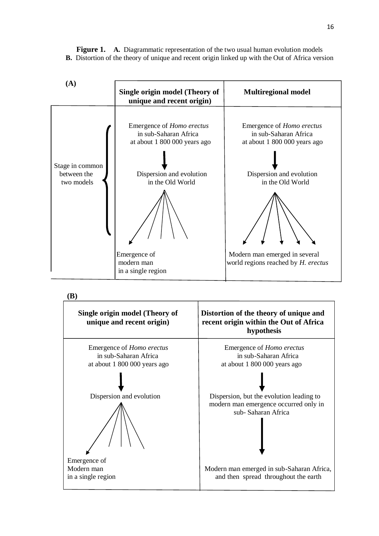**Figure 1.** A. Diagrammatic representation of the two usual human evolution models **B.** Distortion of the theory of unique and recent origin linked up with the Out of Africa version



**(B)**

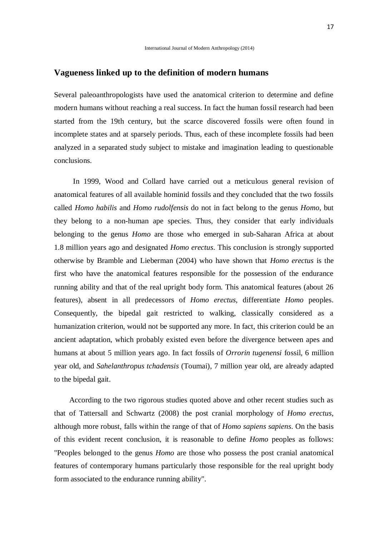### **Vagueness linked up to the definition of modern humans**

Several paleoanthropologists have used the anatomical criterion to determine and define modern humans without reaching a real success. In fact the human fossil research had been started from the 19th century, but the scarce discovered fossils were often found in incomplete states and at sparsely periods. Thus, each of these incomplete fossils had been analyzed in a separated study subject to mistake and imagination leading to questionable conclusions.

 In 1999, Wood and Collard have carried out a meticulous general revision of anatomical features of all available hominid fossils and they concluded that the two fossils called *Homo habilis* and *Homo rudolfensis* do not in fact belong to the genus *Homo*, but they belong to a non-human ape species. Thus, they consider that early individuals belonging to the genus *Homo* are those who emerged in sub-Saharan Africa at about 1.8 million years ago and designated *Homo erectus*. This conclusion is strongly supported otherwise by Bramble and Lieberman (2004) who have shown that *Homo erectus* is the first who have the anatomical features responsible for the possession of the endurance running ability and that of the real upright body form. This anatomical features (about 26 features), absent in all predecessors of *Homo erectus*, differentiate *Homo* peoples. Consequently, the bipedal gait restricted to walking, classically considered as a humanization criterion, would not be supported any more. In fact, this criterion could be an ancient adaptation, which probably existed even before the divergence between apes and humans at about 5 million years ago. In fact fossils of *Orrorin tugenensi* fossil*,* 6 million year old, and *Sahelanthropus tchadensis* (Toumai), 7 million year old, are already adapted to the bipedal gait.

 According to the two rigorous studies quoted above and other recent studies such as that of Tattersall and Schwartz (2008) the post cranial morphology of *Homo erectus*, although more robust, falls within the range of that of *Homo sapiens sapiens*. On the basis of this evident recent conclusion, it is reasonable to define *Homo* peoples as follows: "Peoples belonged to the genus *Homo* are those who possess the post cranial anatomical features of contemporary humans particularly those responsible for the real upright body form associated to the endurance running ability".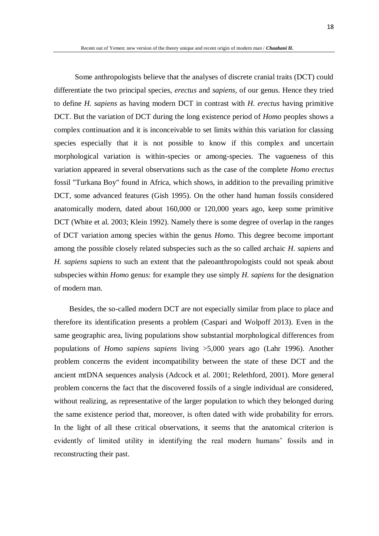Some anthropologists believe that the analyses of discrete cranial traits (DCT) could differentiate the two principal species, *erectus* and *sapiens*, of our genus. Hence they tried to define *H. sapiens* as having modern DCT in contrast with *H. erectus* having primitive DCT. But the variation of DCT during the long existence period of *Homo* peoples shows a complex continuation and it is inconceivable to set limits within this variation for classing species especially that it is not possible to know if this complex and uncertain morphological variation is within-species or among-species. The vagueness of this variation appeared in several observations such as the case of the complete *Homo erectus* fossil "Turkana Boy" found in Africa, which shows, in addition to the prevailing primitive DCT, some advanced features (Gish 1995). On the other hand human fossils considered anatomically modern, dated about 160,000 or 120,000 years ago, keep some primitive DCT (White et al. 2003; Klein 1992). Namely there is some degree of overlap in the ranges of DCT variation among species within the genus *Homo.* This degree become important among the possible closely related subspecies such as the so called archaic *H. sapiens* and *H. sapiens sapiens* to such an extent that the paleoanthropologists could not speak about subspecies within *Homo* genus: for example they use simply *H. sapiens* for the designation of modern man.

 Besides, the so-called modern DCT are not especially similar from place to place and therefore its identification presents a problem (Caspari and Wolpoff 2013). Even in the same geographic area, living populations show substantial morphological differences from populations of *Homo sapiens sapiens* living >5,000 years ago (Lahr 1996). Another problem concerns the evident incompatibility between the state of these DCT and the ancient mtDNA sequences analysis (Adcock et al. 2001; Relethford, 2001). More general problem concerns the fact that the discovered fossils of a single individual are considered, without realizing, as representative of the larger population to which they belonged during the same existence period that, moreover, is often dated with wide probability for errors. In the light of all these critical observations, it seems that the anatomical criterion is evidently of limited utility in identifying the real modern humans' fossils and in reconstructing their past.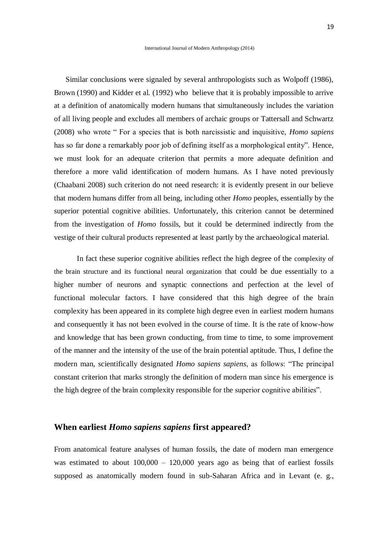Similar conclusions were signaled by several anthropologists such as Wolpoff (1986), Brown (1990) and Kidder et al. (1992) who believe that it is probably impossible to arrive at a definition of anatomically modern humans that simultaneously includes the variation of all living people and excludes all members of archaic groups or Tattersall and Schwartz (2008) who wrote " For a species that is both narcissistic and inquisitive, *Homo sapiens* has so far done a remarkably poor job of defining itself as a morphological entity". Hence, we must look for an adequate criterion that permits a more adequate definition and therefore a more valid identification of modern humans. As I have noted previously (Chaabani 2008) such criterion do not need research: it is evidently present in our believe that modern humans differ from all being, including other *Homo* peoples, essentially by the superior potential cognitive abilities. Unfortunately, this criterion cannot be determined from the investigation of *Homo* fossils, but it could be determined indirectly from the vestige of their cultural products represented at least partly by the archaeological material.

 In fact these superior cognitive abilities reflect the high degree of the complexity of the brain structure and its functional neural organization that could be due essentially to a higher number of neurons and synaptic connections and perfection at the level of functional molecular factors. I have considered that this high degree of the brain complexity has been appeared in its complete high degree even in earliest modern humans and consequently it has not been evolved in the course of time. It is the rate of know-how and knowledge that has been grown conducting, from time to time, to some improvement of the manner and the intensity of the use of the brain potential aptitude. Thus, I define the modern man, scientifically designated *Homo sapiens sapiens*, as follows: "The principal constant criterion that marks strongly the definition of modern man since his emergence is the high degree of the brain complexity responsible for the superior cognitive abilities".

#### **When earliest** *Homo sapiens sapiens* **first appeared?**

From anatomical feature analyses of human fossils, the date of modern man emergence was estimated to about 100,000 – 120,000 years ago as being that of earliest fossils supposed as anatomically modern found in sub-Saharan Africa and in Levant (e. g.,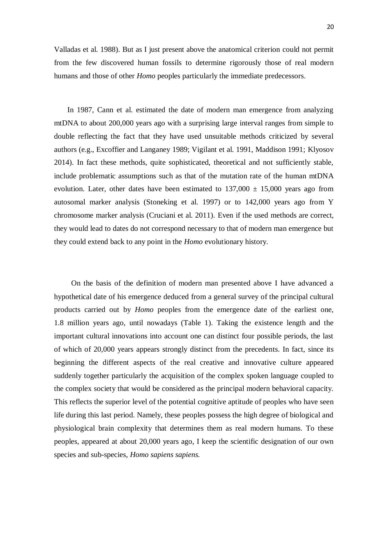Valladas et al. 1988). But as I just present above the anatomical criterion could not permit from the few discovered human fossils to determine rigorously those of real modern humans and those of other *Homo* peoples particularly the immediate predecessors.

In 1987, Cann et al. estimated the date of modern man emergence from analyzing mtDNA to about 200,000 years ago with a surprising large interval ranges from simple to double reflecting the fact that they have used unsuitable methods criticized by several authors (e.g., Excoffier and Langaney 1989; Vigilant et al. 1991, Maddison 1991; Klyosov 2014). In fact these methods, quite sophisticated, theoretical and not sufficiently stable, include problematic assumptions such as that of the mutation rate of the human mtDNA evolution. Later, other dates have been estimated to  $137,000 \pm 15,000$  years ago from autosomal marker analysis (Stoneking et al. 1997) or to 142,000 years ago from Y chromosome marker analysis (Cruciani et al. 2011). Even if the used methods are correct, they would lead to dates do not correspond necessary to that of modern man emergence but they could extend back to any point in the *Homo* evolutionary history.

On the basis of the definition of modern man presented above I have advanced a hypothetical date of his emergence deduced from a general survey of the principal cultural products carried out by *Homo* peoples from the emergence date of the earliest one, 1.8 million years ago, until nowadays (Table 1). Taking the existence length and the important cultural innovations into account one can distinct four possible periods, the last of which of 20,000 years appears strongly distinct from the precedents. In fact, since its beginning the different aspects of the real creative and innovative culture appeared suddenly together particularly the acquisition of the complex spoken language coupled to the complex society that would be considered as the principal modern behavioral capacity. This reflects the superior level of the potential cognitive aptitude of peoples who have seen life during this last period. Namely, these peoples possess the high degree of biological and physiological brain complexity that determines them as real modern humans. To these peoples, appeared at about 20,000 years ago, I keep the scientific designation of our own species and sub-species, *Homo sapiens sapiens.*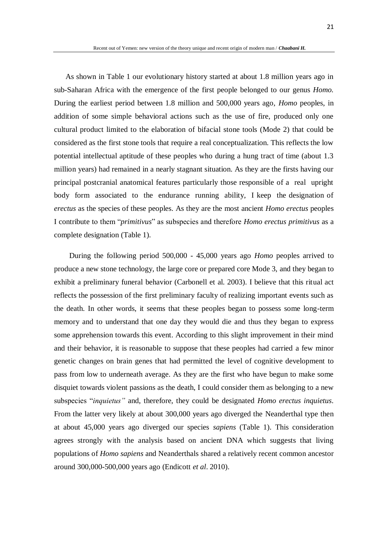As shown in Table 1 our evolutionary history started at about 1.8 million years ago in sub-Saharan Africa with the emergence of the first people belonged to our genus *Homo.*  During the earliest period between 1.8 million and 500,000 years ago, *Homo* peoples, in addition of some simple behavioral actions such as the use of fire, produced only one cultural product limited to the elaboration of bifacial stone tools (Mode 2) that could be considered as the first stone tools that require a real conceptualization. This reflects the low potential intellectual aptitude of these peoples who during a hung tract of time (about 1.3 million years) had remained in a nearly stagnant situation. As they are the firsts having our principal postcranial anatomical features particularly those responsible of a real upright body form associated to the endurance running ability, I keep the designation of *erectus* as the species of these peoples. As they are the most ancient *Homo erectus* peoples I contribute to them "*primitivus*" as subspecies and therefore *Homo erectus primitivus* as a complete designation (Table 1)*.* 

 During the following period 500,000 - 45,000 years ago *Homo* peoples arrived to produce a new stone technology, the large core or prepared core Mode 3, and they began to exhibit a preliminary funeral behavior (Carbonell et al. 2003). I believe that this ritual act reflects the possession of the first preliminary faculty of realizing important events such as the death. In other words, it seems that these peoples began to possess some long-term memory and to understand that one day they would die and thus they began to express some apprehension towards this event. According to this slight improvement in their mind and their behavior, it is reasonable to suppose that these peoples had carried a few minor genetic changes on brain genes that had permitted the level of cognitive development to pass from low to underneath average. As they are the first who have begun to make some disquiet towards violent passions as the death, I could consider them as belonging to a new subspecies "*inquietus"* and, therefore, they could be designated *Homo erectus inquietus*. From the latter very likely at about 300,000 years ago diverged the Neanderthal type then at about 45,000 years ago diverged our species *sapiens* (Table 1). This consideration agrees strongly with the analysis based on ancient DNA which suggests that living populations of *Homo sapiens* and Neanderthals shared a relatively recent common ancestor around 300,000-500,000 years ago (Endicott *et al*. 2010).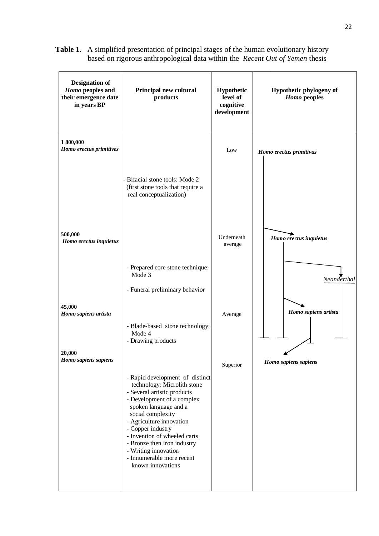| <b>Designation of</b><br>Homo peoples and<br>their emergence date<br>in years BP | Principal new cultural<br>products                                                                                                                                                                                                                                                                                                                                  | Hypothetic<br>level of<br>cognitive<br>development | Hypothetic phylogeny of<br>Homo peoples |
|----------------------------------------------------------------------------------|---------------------------------------------------------------------------------------------------------------------------------------------------------------------------------------------------------------------------------------------------------------------------------------------------------------------------------------------------------------------|----------------------------------------------------|-----------------------------------------|
| 1 800,000<br>Homo erectus primitives                                             | - Bifacial stone tools: Mode 2<br>(first stone tools that require a<br>real conceptualization)                                                                                                                                                                                                                                                                      | Low                                                | Homo erectus primitivus                 |
| 500,000<br>Homo erectus inquietus                                                |                                                                                                                                                                                                                                                                                                                                                                     | Underneath<br>average                              | Homo erectus inquietus                  |
|                                                                                  | - Prepared core stone technique:<br>Mode 3<br>- Funeral preliminary behavior                                                                                                                                                                                                                                                                                        |                                                    | Neanderthal                             |
| 45,000<br>Homo sapiens artista                                                   | - Blade-based stone technology:<br>Mode 4<br>- Drawing products                                                                                                                                                                                                                                                                                                     | Average                                            | Homo sapiens artista                    |
| 20,000<br>Homo sapiens sapiens                                                   | - Rapid development of distinct<br>technology: Microlith stone<br>- Several artistic products<br>- Development of a complex<br>spoken language and a<br>social complexity<br>- Agriculture innovation<br>- Copper industry<br>- Invention of wheeled carts<br>- Bronze then Iron industry<br>- Writing innovation<br>- Innumerable more recent<br>known innovations | Superior                                           | Homo sapiens sapiens                    |

**Table 1.** A simplified presentation of principal stages of the human evolutionary history based on rigorous anthropological data within the *Recent Out of Yemen* thesis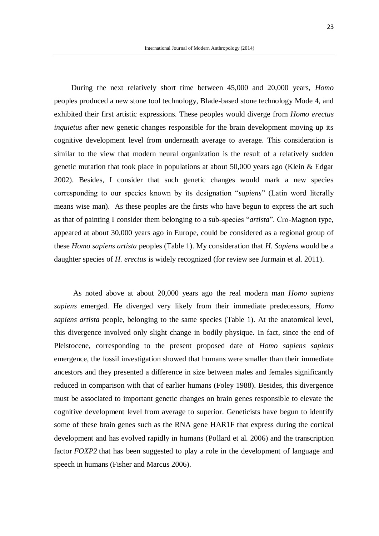During the next relatively short time between 45,000 and 20,000 years, *Homo* peoples produced a new stone tool technology, Blade-based stone technology Mode 4, and exhibited their first artistic expressions. These peoples would diverge from *Homo erectus inquietus* after new genetic changes responsible for the brain development moving up its cognitive development level from underneath average to average. This consideration is similar to the view that modern neural organization is the result of a relatively sudden genetic mutation that took place in populations at about 50,000 years ago (Klein & Edgar 2002). Besides, I consider that such genetic changes would mark a new species corresponding to our species known by its designation "*sapiens*" (Latin word literally means wise man). As these peoples are the firsts who have begun to express the art such as that of painting I consider them belonging to a sub-species "*artista*". Cro-Magnon type, appeared at about 30,000 years ago in Europe, could be considered as a regional group of these *Homo sapiens artista* peoples (Table 1). My consideration that *H. Sapiens* would be a daughter species of *H. erectus* is widely recognized (for review see Jurmain et al. 2011).

 As noted above at about 20,000 years ago the real modern man *Homo sapiens sapiens* emerged. He diverged very likely from their immediate predecessors, *Homo sapiens artista* people, belonging to the same species (Table 1). At the anatomical level, this divergence involved only slight change in bodily physique*.* In fact, since the end of Pleistocene, corresponding to the present proposed date of *Homo sapiens sapiens*  emergence, the fossil investigation showed that humans were smaller than their immediate ancestors and they presented a difference in size between males and females significantly reduced in comparison with that of earlier humans (Foley 1988). Besides, this divergence must be associated to important genetic changes on brain genes responsible to elevate the cognitive development level from average to superior. Geneticists have begun to identify some of these brain genes such as the RNA gene HAR1F that express during the cortical development and has evolved rapidly in humans (Pollard et al. 2006) and the transcription factor *FOXP2* that has been suggested to play a role in the development of language and speech in humans (Fisher and Marcus 2006).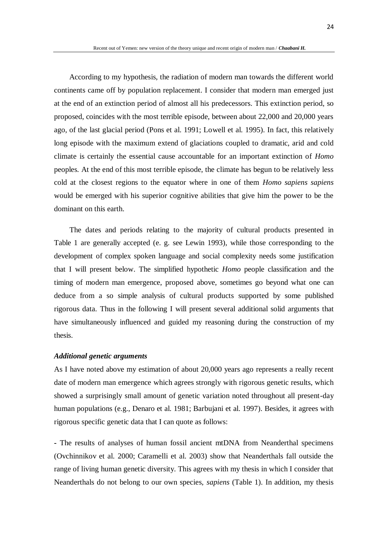According to my hypothesis, the radiation of modern man towards the different world continents came off by population replacement. I consider that modern man emerged just at the end of an extinction period of almost all his predecessors. This extinction period, so proposed, coincides with the most terrible episode, between about 22,000 and 20,000 years ago, of the last glacial period (Pons et al. 1991; Lowell et al. 1995). In fact, this relatively long episode with the maximum extend of glaciations coupled to dramatic, arid and cold climate is certainly the essential cause accountable for an important extinction of *Homo*  peoples*.* At the end of this most terrible episode, the climate has begun to be relatively less cold at the closest regions to the equator where in one of them *Homo sapiens sapiens* would be emerged with his superior cognitive abilities that give him the power to be the dominant on this earth.

 The dates and periods relating to the majority of cultural products presented in Table 1 are generally accepted (e. g. see Lewin 1993), while those corresponding to the development of complex spoken language and social complexity needs some justification that I will present below. The simplified hypothetic *Homo* people classification and the timing of modern man emergence, proposed above, sometimes go beyond what one can deduce from a so simple analysis of cultural products supported by some published rigorous data. Thus in the following I will present several additional solid arguments that have simultaneously influenced and guided my reasoning during the construction of my thesis.

#### *Additional genetic arguments*

As I have noted above my estimation of about 20,000 years ago represents a really recent date of modern man emergence which agrees strongly with rigorous genetic results, which showed a surprisingly small amount of genetic variation noted throughout all present-day human populations (e.g., Denaro et al. 1981; Barbujani et al. 1997). Besides, it agrees with rigorous specific genetic data that I can quote as follows:

**-** The results of analyses of human fossil ancient mtDNA from Neanderthal specimens (Ovchinnikov et al. 2000; Caramelli et al. 2003) show that Neanderthals fall outside the range of living human genetic diversity. This agrees with my thesis in which I consider that Neanderthals do not belong to our own species, *sapiens* (Table 1). In addition, my thesis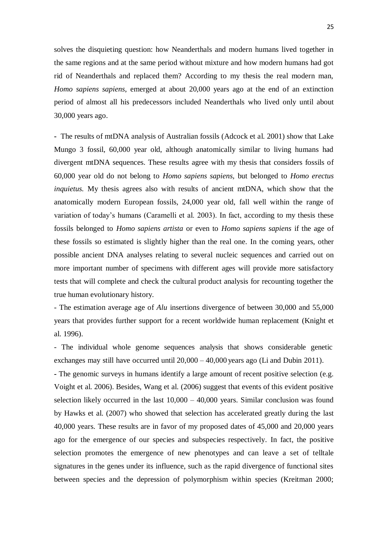solves the disquieting question: how Neanderthals and modern humans lived together in the same regions and at the same period without mixture and how modern humans had got rid of Neanderthals and replaced them? According to my thesis the real modern man, *Homo sapiens sapiens*, emerged at about 20,000 years ago at the end of an extinction period of almost all his predecessors included Neanderthals who lived only until about 30,000 years ago.

**-** The results of mtDNA analysis of Australian fossils (Adcock et al. 2001) show that Lake Mungo 3 fossil, 60,000 year old, although anatomically similar to living humans had divergent mtDNA sequences. These results agree with my thesis that considers fossils of 60,000 year old do not belong to *Homo sapiens sapiens,* but belonged to *Homo erectus inquietus.* My thesis agrees also with results of ancient mtDNA, which show that the anatomically modern European fossils, 24,000 year old, fall well within the range of variation of today's humans (Caramelli et al. 2003). In fact, according to my thesis these fossils belonged to *Homo sapiens artista* or even to *Homo sapiens sapiens* if the age of these fossils so estimated is slightly higher than the real one. In the coming years, other possible ancient DNA analyses relating to several nucleic sequences and carried out on more important number of specimens with different ages will provide more satisfactory tests that will complete and check the cultural product analysis for recounting together the true human evolutionary history.

- The estimation average age of *Alu* insertions divergence of between 30,000 and 55,000 years that provides further support for a recent worldwide human replacement (Knight et al. 1996).

- The individual whole genome sequences analysis that shows considerable genetic exchanges may still have occurred until 20,000 – 40,000 years ago (Li and Dubin 2011).

**-** The genomic surveys in humans identify a large amount of recent positive selection (e.g. Voight et al. 2006). Besides, Wang et al. (2006) suggest that events of this evident positive selection likely occurred in the last  $10,000 - 40,000$  years. Similar conclusion was found by Hawks et al. (2007) who showed that selection has accelerated greatly during the last 40,000 years. These results are in favor of my proposed dates of 45,000 and 20,000 years ago for the emergence of our species and subspecies respectively*.* In fact, the positive selection promotes the emergence of new phenotypes and can leave a set of telltale signatures in the genes under its influence, such as the rapid divergence of functional sites between species and the depression of polymorphism within species (Kreitman 2000;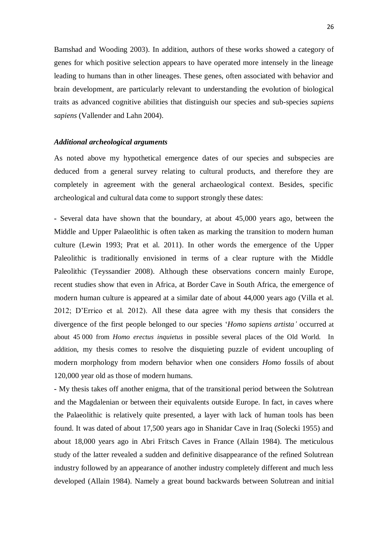Bamshad and Wooding 2003). In addition, authors of these works showed a category of genes for which positive selection appears to have operated more intensely in the lineage leading to humans than in other lineages. These genes, often associated with behavior and brain development, are particularly relevant to understanding the evolution of biological traits as advanced cognitive abilities that distinguish our species and sub-species *sapiens sapiens* (Vallender and Lahn 2004).

#### *Additional archeological arguments*

As noted above my hypothetical emergence dates of our species and subspecies are deduced from a general survey relating to cultural products, and therefore they are completely in agreement with the general archaeological context. Besides, specific archeological and cultural data come to support strongly these dates:

**-** Several data have shown that the boundary, at about 45,000 years ago, between the Middle and Upper Palaeolithic is often taken as marking the transition to modern human culture (Lewin 1993; Prat et al. 2011). In other words the emergence of the Upper Paleolithic is traditionally envisioned in terms of a clear rupture with the Middle Paleolithic (Teyssandier 2008). Although these observations concern mainly Europe, recent studies show that even in Africa, at Border Cave in South Africa, the emergence of modern human culture is appeared at a similar date of about 44,000 years ago (Villa et al. 2012; D'Errico et al. 2012). All these data agree with my thesis that considers the divergence of the first people belonged to our species '*Homo sapiens artista'* occurred at about 45 000 from *Homo erectus inquietus* in possible several places of the Old World. In addition, my thesis comes to resolve the disquieting puzzle of evident uncoupling of modern morphology from modern behavior when one considers *Homo* fossils of about 120,000 year old as those of modern humans.

**-** My thesis takes off another enigma, that of the transitional period between the Solutrean and the Magdalenian or between their equivalents outside Europe. In fact, in caves where the Palaeolithic is relatively quite presented, a layer with lack of human tools has been found. It was dated of about 17,500 years ago in Shanidar Cave in Iraq (Solecki 1955) and about 18,000 years ago in Abri Fritsch Caves in France (Allain 1984). The meticulous study of the latter revealed a sudden and definitive disappearance of the refined Solutrean industry followed by an appearance of another industry completely different and much less developed (Allain 1984). Namely a great bound backwards between Solutrean and initial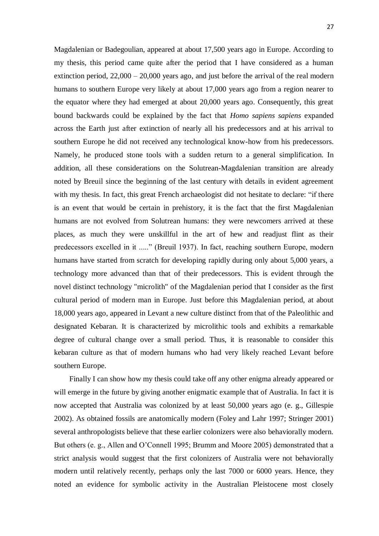Magdalenian or Badegoulian, appeared at about 17,500 years ago in Europe. According to my thesis, this period came quite after the period that I have considered as a human extinction period,  $22,000 - 20,000$  years ago, and just before the arrival of the real modern humans to southern Europe very likely at about 17,000 years ago from a region nearer to the equator where they had emerged at about 20,000 years ago. Consequently, this great bound backwards could be explained by the fact that *Homo sapiens sapiens* expanded across the Earth just after extinction of nearly all his predecessors and at his arrival to southern Europe he did not received any technological know-how from his predecessors. Namely, he produced stone tools with a sudden return to a general simplification. In addition, all these considerations on the Solutrean-Magdalenian transition are already noted by Breuil since the beginning of the last century with details in evident agreement with my thesis. In fact, this great French archaeologist did not hesitate to declare: "if there is an event that would be certain in prehistory, it is the fact that the first Magdalenian humans are not evolved from Solutrean humans: they were newcomers arrived at these places, as much they were unskillful in the art of hew and readjust flint as their predecessors excelled in it ....." (Breuil 1937). In fact, reaching southern Europe, modern humans have started from scratch for developing rapidly during only about 5,000 years, a technology more advanced than that of their predecessors. This is evident through the novel distinct technology "microlith" of the Magdalenian period that I consider as the first cultural period of modern man in Europe. Just before this Magdalenian period, at about 18,000 years ago, appeared in Levant a new culture distinct from that of the Paleolithic and designated Kebaran. It is characterized by microlithic tools and exhibits a remarkable degree of cultural change over a small period. Thus, it is reasonable to consider this kebaran culture as that of modern humans who had very likely reached Levant before southern Europe.

 Finally I can show how my thesis could take off any other enigma already appeared or will emerge in the future by giving another enigmatic example that of Australia. In fact it is now accepted that Australia was colonized by at least 50,000 years ago (e. g., Gillespie 2002). As obtained fossils are anatomically modern (Foley and Lahr 1997; Stringer 2001) several anthropologists believe that these earlier colonizers were also behaviorally modern. But others (e. g., Allen and O'Connell 1995; Brumm and Moore 2005) demonstrated that a strict analysis would suggest that the first colonizers of Australia were not behaviorally modern until relatively recently, perhaps only the last 7000 or 6000 years. Hence, they noted an evidence for symbolic activity in the Australian Pleistocene most closely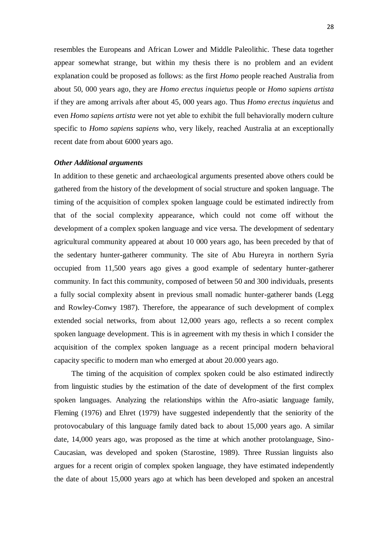resembles the Europeans and African Lower and Middle Paleolithic. These data together appear somewhat strange, but within my thesis there is no problem and an evident explanation could be proposed as follows: as the first *Homo* people reached Australia from about 50, 000 years ago, they are *Homo erectus inquietus* people or *Homo sapiens artista* if they are among arrivals after about 45, 000 years ago. Thus *Homo erectus inquietus* and even *Homo sapiens artista* were not yet able to exhibit the full behaviorally modern culture specific to *Homo sapiens sapiens* who, very likely, reached Australia at an exceptionally recent date from about 6000 years ago.

#### *Other Additional arguments*

In addition to these genetic and archaeological arguments presented above others could be gathered from the history of the development of social structure and spoken language. The timing of the acquisition of complex spoken language could be estimated indirectly from that of the social complexity appearance, which could not come off without the development of a complex spoken language and vice versa. The development of sedentary agricultural community appeared at about 10 000 years ago, has been preceded by that of the sedentary hunter-gatherer community. The site of Abu Hureyra in northern Syria occupied from 11,500 years ago gives a good example of sedentary hunter-gatherer community. In fact this community, composed of between 50 and 300 individuals, presents a fully social complexity absent in previous small nomadic hunter-gatherer bands (Legg and Rowley-Conwy 1987). Therefore, the appearance of such development of complex extended social networks, from about 12,000 years ago, reflects a so recent complex spoken language development. This is in agreement with my thesis in which I consider the acquisition of the complex spoken language as a recent principal modern behavioral capacity specific to modern man who emerged at about 20.000 years ago.

 The timing of the acquisition of complex spoken could be also estimated indirectly from linguistic studies by the estimation of the date of development of the first complex spoken languages. Analyzing the relationships within the Afro-asiatic language family, Fleming (1976) and Ehret (1979) have suggested independently that the seniority of the protovocabulary of this language family dated back to about 15,000 years ago. A similar date, 14,000 years ago, was proposed as the time at which another protolanguage, Sino-Caucasian, was developed and spoken (Starostine, 1989). Three Russian linguists also argues for a recent origin of complex spoken language, they have estimated independently the date of about 15,000 years ago at which has been developed and spoken an ancestral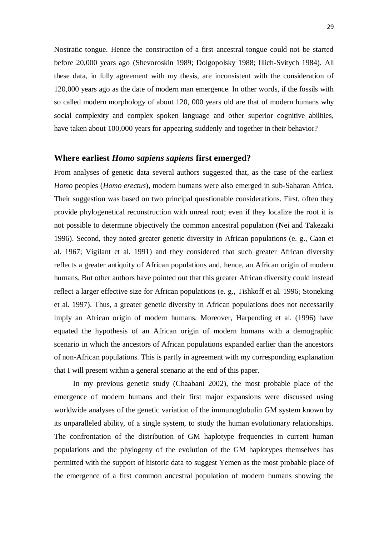Nostratic tongue. Hence the construction of a first ancestral tongue could not be started before 20,000 years ago (Shevoroskin 1989; Dolgopolsky 1988; Illich-Svitych 1984). All these data, in fully agreement with my thesis, are inconsistent with the consideration of 120,000 years ago as the date of modern man emergence. In other words, if the fossils with so called modern morphology of about 120, 000 years old are that of modern humans why social complexity and complex spoken language and other superior cognitive abilities, have taken about 100,000 years for appearing suddenly and together in their behavior?

## **Where earliest** *Homo sapiens sapiens* **first emerged?**

From analyses of genetic data several authors suggested that, as the case of the earliest *Homo* peoples (*Homo erectus*), modern humans were also emerged in sub-Saharan Africa. Their suggestion was based on two principal questionable considerations. First, often they provide phylogenetical reconstruction with unreal root; even if they localize the root it is not possible to determine objectively the common ancestral population (Nei and Takezaki 1996). Second, they noted greater genetic diversity in African populations (e. g., Caan et al. 1967; Vigilant et al. 1991) and they considered that such greater African diversity reflects a greater antiquity of African populations and, hence, an African origin of modern humans. But other authors have pointed out that this greater African diversity could instead reflect a larger effective size for African populations (e. g., Tishkoff et al. 1996; Stoneking et al. 1997). Thus, a greater genetic diversity in African populations does not necessarily imply an African origin of modern humans. Moreover, Harpending et al. (1996) have equated the hypothesis of an African origin of modern humans with a demographic scenario in which the ancestors of African populations expanded earlier than the ancestors of non-African populations. This is partly in agreement with my corresponding explanation that I will present within a general scenario at the end of this paper.

 In my previous genetic study (Chaabani 2002), the most probable place of the emergence of modern humans and their first major expansions were discussed using worldwide analyses of the genetic variation of the immunoglobulin GM system known by its unparalleled ability, of a single system, to study the human evolutionary relationships. The confrontation of the distribution of GM haplotype frequencies in current human populations and the phylogeny of the evolution of the GM haplotypes themselves has permitted with the support of historic data to suggest Yemen as the most probable place of the emergence of a first common ancestral population of modern humans showing the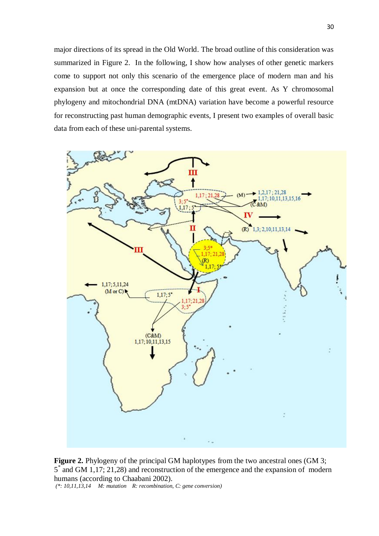major directions of its spread in the Old World. The broad outline of this consideration was summarized in Figure 2. In the following, I show how analyses of other genetic markers come to support not only this scenario of the emergence place of modern man and his expansion but at once the corresponding date of this great event. As Y chromosomal phylogeny and mitochondrial DNA (mtDNA) variation have become a powerful resource for reconstructing past human demographic events, I present two examples of overall basic data from each of these uni-parental systems.



**Figure 2.** Phylogeny of the principal GM haplotypes from the two ancestral ones (GM 3; 5<sup>\*</sup> and GM 1,17; 21,28) and reconstruction of the emergence and the expansion of modern humans (according to Chaabani 2002).

*(\*: 10,11,13,14 M: mutation R: recombination, C: gene conversion)*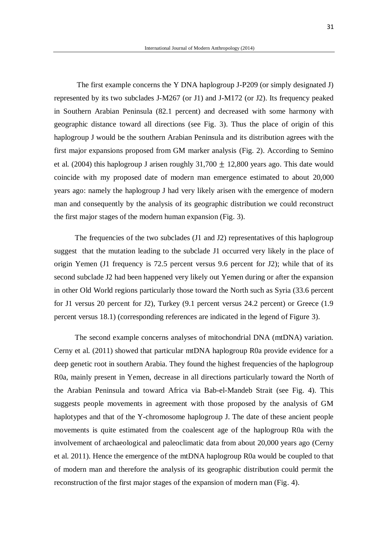The first example concerns the Y DNA haplogroup J-P209 (or simply designated J) represented by its two subclades J-M267 (or J1) and J-M172 (or J2). Its frequency peaked in Southern Arabian Peninsula (82.1 percent) and decreased with some harmony with geographic distance toward all directions (see Fig. 3). Thus the place of origin of this haplogroup J would be the southern Arabian Peninsula and its distribution agrees with the first major expansions proposed from GM marker analysis (Fig. 2). According to Semino et al. (2004) this haplogroup J arisen roughly  $31,700 \pm 12,800$  years ago. This date would coincide with my proposed date of modern man emergence estimated to about 20,000 years ago: namely the haplogroup J had very likely arisen with the emergence of modern man and consequently by the analysis of its geographic distribution we could reconstruct the first major stages of the modern human expansion (Fig. 3).

 The frequencies of the two subclades (J1 and J2) representatives of this haplogroup suggest that the mutation leading to the subclade J1 occurred very likely in the place of origin Yemen (J1 frequency is 72.5 percent versus 9.6 percent for J2); while that of its second subclade J2 had been happened very likely out Yemen during or after the expansion in other Old World regions particularly those toward the North such as Syria (33.6 percent for J1 versus 20 percent for J2), Turkey (9.1 percent versus 24.2 percent) or Greece (1.9 percent versus 18.1) (corresponding references are indicated in the legend of Figure 3).

 The second example concerns analyses of mitochondrial DNA (mtDNA) variation. Cerny et al. (2011) showed that particular mtDNA haplogroup R0a provide evidence for a deep genetic root in southern Arabia. They found the highest frequencies of the haplogroup R0a, mainly present in Yemen, decrease in all directions particularly toward the North of the Arabian Peninsula and toward Africa via Bab-el-Mandeb Strait (see Fig. 4). This suggests people movements in agreement with those proposed by the analysis of GM haplotypes and that of the Y-chromosome haplogroup J. The date of these ancient people movements is quite estimated from the coalescent age of the haplogroup R0a with the involvement of archaeological and paleoclimatic data from about 20,000 years ago (Cerny et al. 2011). Hence the emergence of the mtDNA haplogroup R0a would be coupled to that of modern man and therefore the analysis of its geographic distribution could permit the reconstruction of the first major stages of the expansion of modern man (Fig. 4).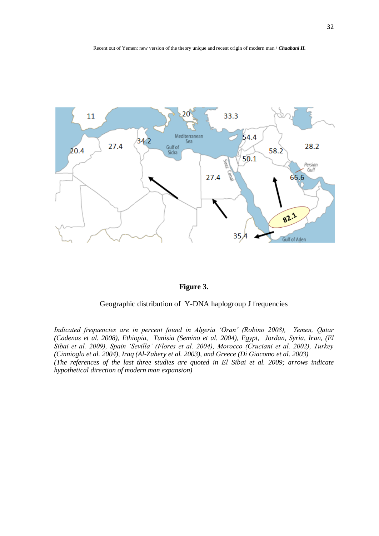

#### **Figure 3.**

## Geographic distribution of Y-DNA haplogroup J frequencies

*Indicated frequencies are in percent found in Algeria 'Oran' (Robino 2008), Yemen, Qatar (Cadenas et al. 2008), Ethiopia, Tunisia (Semino et al. 2004), Egypt, Jordan, Syria, Iran, (El Sibai et al. 2009), Spain 'Sevilla' (Flores et al. 2004), Morocco (Cruciani et al. 2002), Turkey (Cinnioglu et al. 2004), Iraq (Al-Zahery et al. 2003), and Greece (Di Giacomo et al. 2003) (The references of the last three studies are quoted in El Sibai et al. 2009; arrows indicate* 

*hypothetical direction of modern man expansion)*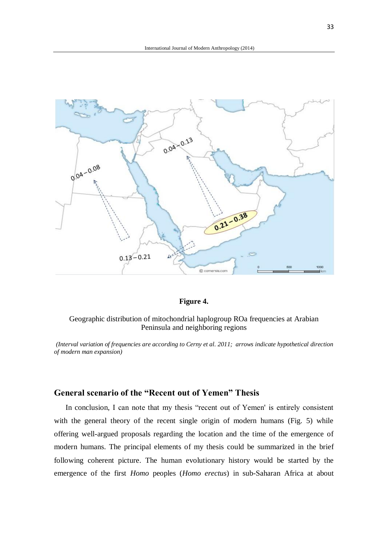

#### **Figure 4.**

## Geographic distribution of mitochondrial haplogroup ROa frequencies at Arabian Peninsula and neighboring regions

*(Interval variation of frequencies are according to Cerny et al. 2011; arrows indicate hypothetical direction of modern man expansion)*

# **General scenario of the "Recent out of Yemen" Thesis**

In conclusion, I can note that my thesis "recent out of Yemen' is entirely consistent with the general theory of the recent single origin of modern humans (Fig. 5) while offering well-argued proposals regarding the location and the time of the emergence of modern humans. The principal elements of my thesis could be summarized in the brief following coherent picture. The human evolutionary history would be started by the emergence of the first *Homo* peoples (*Homo erectus*) in sub-Saharan Africa at about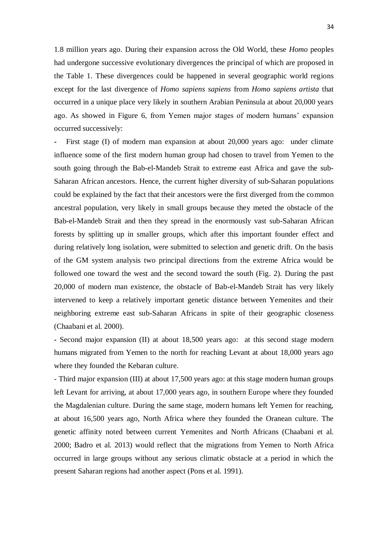1.8 million years ago. During their expansion across the Old World, these *Homo* peoples had undergone successive evolutionary divergences the principal of which are proposed in the Table 1. These divergences could be happened in several geographic world regions except for the last divergence of *Homo sapiens sapiens* from *Homo sapiens artista* that occurred in a unique place very likely in southern Arabian Peninsula at about 20,000 years ago. As showed in Figure 6, from Yemen major stages of modern humans' expansion occurred successively:

First stage (I) of modern man expansion at about 20,000 years ago: under climate influence some of the first modern human group had chosen to travel from Yemen to the south going through the Bab-el-Mandeb Strait to extreme east Africa and gave the sub-Saharan African ancestors. Hence, the current higher diversity of sub-Saharan populations could be explained by the fact that their ancestors were the first diverged from the common ancestral population, very likely in small groups because they meted the obstacle of the Bab-el-Mandeb Strait and then they spread in the enormously vast sub-Saharan African forests by splitting up in smaller groups, which after this important founder effect and during relatively long isolation, were submitted to selection and genetic drift. On the basis of the GM system analysis two principal directions from the extreme Africa would be followed one toward the west and the second toward the south (Fig. 2). During the past 20,000 of modern man existence, the obstacle of Bab-el-Mandeb Strait has very likely intervened to keep a relatively important genetic distance between Yemenites and their neighboring extreme east sub-Saharan Africans in spite of their geographic closeness (Chaabani et al. 2000).

**-** Second major expansion (II) at about 18,500 years ago: at this second stage modern humans migrated from Yemen to the north for reaching Levant at about 18,000 years ago where they founded the Kebaran culture.

- Third major expansion (III) at about 17,500 years ago: at this stage modern human groups left Levant for arriving, at about 17,000 years ago, in southern Europe where they founded the Magdalenian culture. During the same stage, modern humans left Yemen for reaching, at about 16,500 years ago, North Africa where they founded the Oranean culture. The genetic affinity noted between current Yemenites and North Africans (Chaabani et al. 2000; Badro et al. 2013) would reflect that the migrations from Yemen to North Africa occurred in large groups without any serious climatic obstacle at a period in which the present Saharan regions had another aspect (Pons et al. 1991).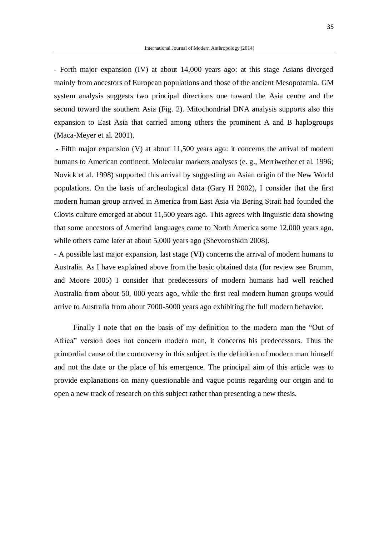**-** Forth major expansion (IV) at about 14,000 years ago: at this stage Asians diverged mainly from ancestors of European populations and those of the ancient Mesopotamia. GM system analysis suggests two principal directions one toward the Asia centre and the second toward the southern Asia (Fig. 2). Mitochondrial DNA analysis supports also this expansion to East Asia that carried among others the prominent A and B haplogroups (Maca-Meyer et al. 2001).

**-** Fifth major expansion (V) at about 11,500 years ago: it concerns the arrival of modern humans to American continent. Molecular markers analyses (e. g., Merriwether et al. 1996; Novick et al. 1998) supported this arrival by suggesting an Asian origin of the New World populations. On the basis of archeological data (Gary H 2002), I consider that the first modern human group arrived in America from East Asia via Bering Strait had founded the Clovis culture emerged at about 11,500 years ago. This agrees with linguistic data showing that some ancestors of Amerind languages came to North America some 12,000 years ago, while others came later at about 5,000 years ago (Shevoroshkin 2008).

- A possible last major expansion, last stage (**VI**) concerns the arrival of modern humans to Australia. As I have explained above from the basic obtained data (for review see Brumm, and Moore 2005) I consider that predecessors of modern humans had well reached Australia from about 50, 000 years ago, while the first real modern human groups would arrive to Australia from about 7000-5000 years ago exhibiting the full modern behavior.

 Finally I note that on the basis of my definition to the modern man the "Out of Africa" version does not concern modern man, it concerns his predecessors. Thus the primordial cause of the controversy in this subject is the definition of modern man himself and not the date or the place of his emergence. The principal aim of this article was to provide explanations on many questionable and vague points regarding our origin and to open a new track of research on this subject rather than presenting a new thesis.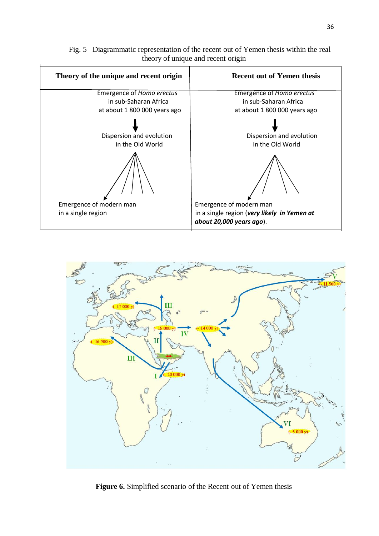



Fig. 5 Diagrammatic representation of the recent out of Yemen thesis within the real theory of unique and recent origin

**Figure 6.** Simplified scenario of the Recent out of Yemen thesis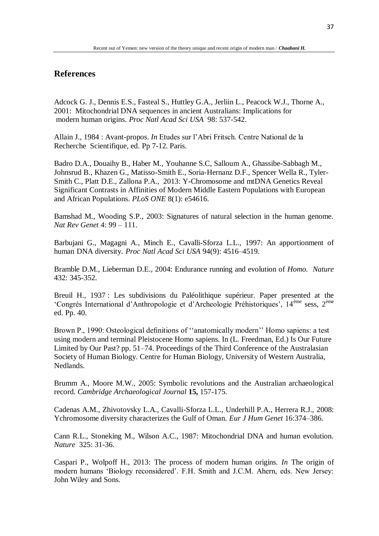# **References**

Adcock G. J., Dennis E.S., Fasteal S., Huttley G.A., Jerliin L., Peacock W.J., Thorne A., 2001: Mitochondrial DNA sequences in ancient Australians: Implications for modern human origins. *Proc Natl Acad Sci USA* 98: 537-542.

Allain J., 1984 : Avant-propos. *In* Etudes sur l'Abri Fritsch. Centre National de la Recherche Scientifique, ed. Pp 7-12. Paris.

Badro D.A., Douaihy B., Haber M., Youhanne S.C, Salloum A., Ghassibe-Sabbagh M., Johnsrud B., Khazen G., Matisso-Smith E., Soria-Hernanz D.F., Spencer Wella R., Tyler-Smith C., Platt D.E., Zallona P.A., 2013: Y-Chromosome and mtDNA Genetics Reveal Significant Contrasts in Affinities of Modern Middle Eastern Populations with European and African Populations. *PLoS ONE* 8(1): e54616.

Bamshad M., Wooding S.P., 2003: Signatures of natural selection in the human genome. *Nat Rev Genet* 4: 99 – 111.

Barbujani G., Magagni A., Minch E., Cavalli-Sforza L.L., 1997: An apportionment of human DNA diversity. *Proc Natl Acad Sci USA* 94(9): 4516–4519.

Bramble D.M., Lieberman D.E., 2004: Endurance running and evolution of *Homo. Nature*  432: 345-352.

Breuil H., 1937 : Les subdivisions du Paléolithique supérieur. Paper presented at the 'Congrés International d'Anthropologie et d'Archeologie Préhistoriques', 14ème sess, 2ème ed. Pp. 40.

Brown P., 1990: Osteological definitions of "anatomically modern" Homo sapiens: a test using modern and terminal Pleistocene Homo sapiens. In (L. Freedman, Ed.) Is Our Future Limited by Our Past? pp. 51–74. Proceedings of the Third Conference of the Australasian Society of Human Biology. Centre for Human Biology, University of Western Australia, Nedlands.

Brumm A., Moore M.W., 2005: Symbolic revolutions and the Australian archaeological record. *Cambridge Archaeological Journal* **15,** 157-175.

Cadenas A.M., Zhivotovsky L.A., Cavalli-Sforza L.L., Underhill P.A., Herrera R.J., 2008: Ychromosome diversity characterizes the Gulf of Oman. *Eur J Hum Genet* 16:374–386.

Cann R.L., Stoneking M., Wilson A.C., 1987: Mitochondrial DNA and human evolution. *Nature* 325: 31-36.

Caspari P., Wolpoff H., 2013: The process of modern human origins. *In* The origin of modern humans 'Biology reconsidered'. F.H. Smith and J.C.M. Ahern, eds. New Jersey: John Wiley and Sons.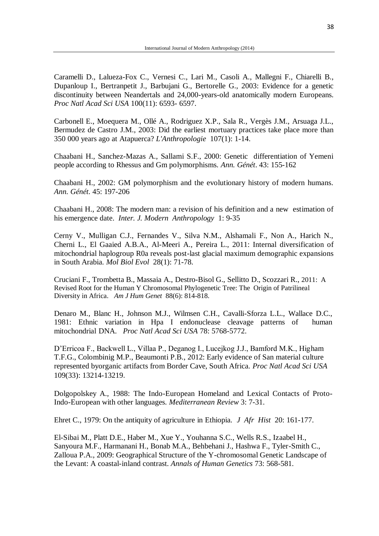Caramelli D., Lalueza-Fox C., Vernesi C., Lari M., Casoli A., Mallegni F., Chiarelli B., Dupanloup I., Bertranpetit J., Barbujani G., Bertorelle G., 2003: Evidence for a genetic discontinuity between Neandertals and 24,000-years-old anatomically modern Europeans*. Proc Natl Acad Sci USA* 100(11): 6593- 6597.

Carbonell E., Moequera M., Ollé A., Rodriguez X.P., Sala R., Vergès J.M., Arsuaga J.L., Bermudez de Castro J.M., 2003: Did the earliest mortuary practices take place more than 350 000 years ago at Atapuerca? *L'Anthropologie* 107(1): 1-14.

Chaabani H., Sanchez-Mazas A., Sallami S.F., 2000: Genetic differentiation of Yemeni people according to Rhessus and Gm polymorphisms. *Ann. Génét*. 43: 155-162

Chaabani H., 2002: GM polymorphism and the evolutionary history of modern humans. *Ann. Génét*. 45: 197-206

Chaabani H., 2008: The modern man: a revision of his definition and a new estimation of his emergence date. *Inter. J. Modern Anthropology* 1: 9-35

Cerny V., Mulligan C.J., Fernandes V., Silva N.M., Alshamali F., Non A., Harich N., Cherni L., El Gaaied A.B.A., Al-Meeri A., Pereira L., 2011: Internal diversification of mitochondrial haplogroup R0a reveals post-last glacial maximum demographic expansions in South Arabia. *Mol Biol Evol* 28(1): 71-78.

Cruciani F., Trombetta B., Massaia A., Destro-Bisol G., Sellitto D., Scozzari R., 2011: A Revised Root for the Human Y Chromosomal Phylogenetic Tree: The Origin of Patrilineal Diversity in Africa. *Am J Hum Genet* 88(6): 814-818.

Denaro M., Blanc H., Johnson M.J., Wilmsen C.H., Cavalli-Sforza L.L., Wallace D.C., 1981: Ethnic variation in Hpa I endonuclease cleavage patterns of human mitochondrial DNA. *Proc Natl Acad Sci USA* 78: 5768-5772.

D'Erricoa F., Backwell L., Villaa P., Deganog I., Lucejkog J.J., Bamford M.K., Higham T.F.G., Colombinig M.P., Beaumonti P.B., 2012: Early evidence of San material culture represented byorganic artifacts from Border Cave, South Africa. *Proc Natl Acad Sci USA*  109(33): 13214-13219.

Dolgopolskey A., 1988: The Indo-European Homeland and Lexical Contacts of Proto-Indo-European with other languages*. Mediterranean Review* 3: 7-31.

Ehret C., 1979: On the antiquity of agriculture in Ethiopia. *J Afr Hist* 20: 161-177.

El-Sibai M., Platt D.E., Haber M., Xue Y., Youhanna S.C., Wells R.S., Izaabel H., Sanyoura M.F., Harmanani H., Bonab M.A., Behbehani J., Hashwa F., Tyler-Smith C., Zalloua P.A., 2009: Geographical Structure of the Y-chromosomal Genetic Landscape of the Levant: A coastal-inland contrast. *Annals of Human Genetics* 73: 568-581.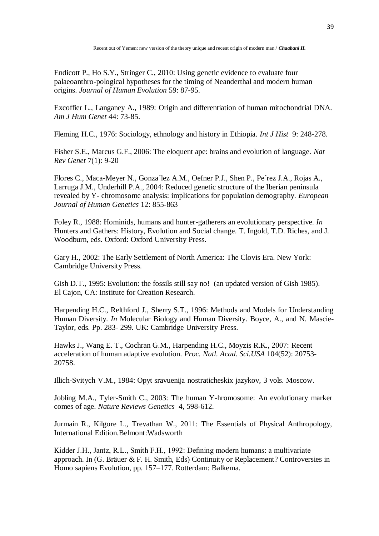Endicott P., Ho S.Y., Stringer C., 2010: Using genetic evidence to evaluate four palaeoanthro-pological hypotheses for the timing of Neanderthal and modern human origins. *Journal of Human Evolution* 59: 87-95.

Excoffier L., Langaney A., 1989: Origin and differentiation of human mitochondrial DNA. *Am J Hum Genet* 44: 73-85.

Fleming H.C., 1976: Sociology, ethnology and history in Ethiopia. *Int J Hist* 9: 248-278.

Fisher S.E., Marcus G.F., 2006: The eloquent ape: brains and evolution of language. *Nat Rev Genet* 7(1): 9-20

Flores C., Maca-Meyer N., Gonza´lez A.M., Oefner P.J., Shen P., Pe´rez J.A., Rojas A., Larruga J.M., Underhill P.A., 2004: Reduced genetic structure of the Iberian peninsula revealed by Y- chromosome analysis: implications for population demography. *European Journal of Human Genetics* 12: 855-863

Foley R., 1988: Hominids, humans and hunter-gatherers an evolutionary perspective. *In* Hunters and Gathers: History, Evolution and Social change. T. Ingold, T.D. Riches, and J. Woodburn, eds. Oxford: Oxford University Press.

Gary H., 2002: The Early Settlement of North America: The Clovis Era. New York: Cambridge University Press.

Gish D.T., 1995: Evolution: the fossils still say no! (an updated version of Gish 1985). El Cajon, CA: Institute for Creation Research.

Harpending H.C., Relthford J., Sherry S.T., 1996: Methods and Models for Understanding Human Diversity. *In* Molecular Biology and Human Diversity. Boyce, A., and N. Mascie-Taylor, eds*.* Pp. 283- 299. UK: Cambridge University Press.

Hawks J., Wang E. T., Cochran G.M., Harpending H.C., Moyzis R.K., 2007: Recent acceleration of human adaptive evolution. *Proc. Natl. Acad. Sci.USA* 104(52): 20753- 20758.

Illich-Svitych V.M., 1984: Opyt sravuenija nostraticheskix jazykov, 3 vols. Moscow.

Jobling M.A., Tyler-Smith C., 2003: The human Y-hromosome: An evolutionary marker comes of age. *Nature Reviews Genetics* 4, 598-612.

Jurmain R., Kilgore L., Trevathan W., 2011: The Essentials of Physical Anthropology, International Edition.Belmont:Wadsworth

Kidder J.H., Jantz, R.L., Smith F.H., 1992: Defining modern humans: a multivariate approach. In (G. Bräuer & F. H. Smith, Eds) Continuity or Replacement? Controversies in Homo sapiens Evolution, pp. 157–177. Rotterdam: Balkema.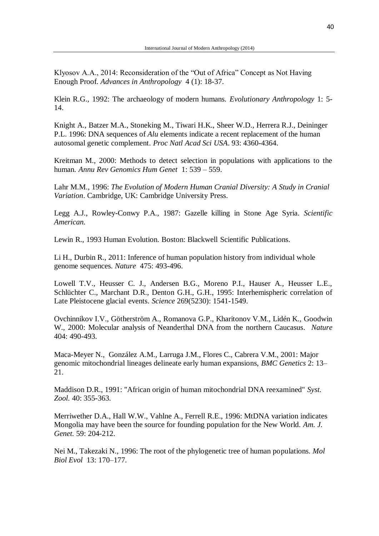Klyosov A.A., 2014: Reconsideration of the "Out of Africa" Concept as Not Having Enough Proof. *Advances in Anthropology* 4 (1): 18-37.

Klein R.G., 1992: The archaeology of modern humans*. Evolutionary Anthropology* 1: 5- 14.

Knight A., Batzer M.A., Stoneking M., Tiwari H.K., Sheer W.D., Herrera R.J., Deininger P.L. 1996: DNA sequences of *Alu* elements indicate a recent replacement of the human autosomal genetic complement. *Proc Natl Acad Sci USA*. 93: 4360-4364.

Kreitman M., 2000: Methods to detect selection in populations with applications to the human. *Annu Rev Genomics Hum Genet* 1: 539 – 559.

Lahr M.M., 1996: *The Evolution of Modern Human Cranial Diversity: A Study in Cranial Variation*. Cambridge, UK: Cambridge University Press.

Legg A.J., Rowley-Conwy P.A., 1987: Gazelle killing in Stone Age Syria. *Scientific American.*

Lewin R., 1993 Human Evolution. Boston: Blackwell Scientific Publications.

Li H., Durbin R., 2011: Inference of human population history from individual whole genome sequences. *Nature* 475: 493-496.

Lowell T.V., Heusser C. J., Andersen B.G., Moreno P.I., Hauser A., Heusser L.E., Schlüchter C., Marchant D.R., Denton G.H., G.H., 1995: Interhemispheric correlation of Late Pleistocene glacial events. *Science* 269(5230): 1541-1549.

Ovchinnikov I.V., Götherström A., Romanova G.P., Kharitonov V.M., Lidén K., Goodwin W., 2000: Molecular analysis of Neanderthal DNA from the northern Caucasus*. Nature* 404: 490-493.

Maca-Meyer N., González A.M., Larruga J.M., Flores C., Cabrera V.M., 2001: Major genomic mitochondrial lineages delineate early human expansions, *BMC Genetics* 2: 13– 21.

Maddison D.R., 1991: "African origin of human mitochondrial DNA reexamined" *Syst. Zool.* 40: 355-363.

Merriwether D.A., Hall W.W., Vahlne A., Ferrell R.E., 1996: MtDNA variation indicates Mongolia may have been the source for founding population for the New World. *Am. J. Genet.* 59: 204-212.

Nei M., Takezaki N., 1996: The root of the phylogenetic tree of human populations. *Mol Biol Evol* 13: 170–177.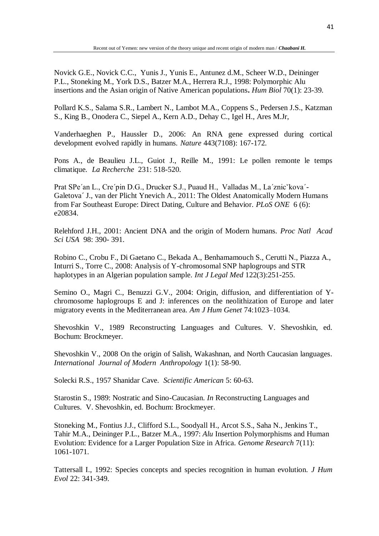Novick G.E., Novick C.C., Yunis J., Yunis E., Antunez d.M., Scheer W.D., Deininger P.L., Stoneking M., York D.S., Batzer M.A., Herrera R.J., 1998: Polymorphic Alu insertions and the Asian origin of Native American populations**.** *Hum Biol* 70(1): 23-39.

Pollard K.S., Salama S.R., Lambert N., Lambot M.A., Coppens S., Pedersen J.S., Katzman S., King B., Onodera C., Siepel A., Kern A.D., Dehay C., Igel H., Ares M.Jr,

Vanderhaeghen P., Haussler D., 2006: An RNA gene expressed during cortical development evolved rapidly in humans. *Nature* 443(7108): 167-172*.*

Pons A., de Beaulieu J.L., Guiot J., Reille M., 1991: Le pollen remonte le temps climatique*. La Recherche* 231: 518-520.

Prat SPe´an L., Cre´pin D.G., Drucker S.J., Puaud H., Valladas M., La´znicˇkova´- Galetova´ J., van der Plicht Ynevich A., 2011: The Oldest Anatomically Modern Humans from Far Southeast Europe: Direct Dating, Culture and Behavior. *PLoS ONE* 6 (6): e20834.

Relehford J.H., 2001: Ancient DNA and the origin of Modern humans. *Proc Natl Acad Sci USA* 98: 390- 391.

Robino C., Crobu F., Di Gaetano C., Bekada A., Benhamamouch S., Cerutti N., Piazza A., Inturri S., Torre C., 2008: Analysis of Y-chromosomal SNP haplogroups and STR haplotypes in an Algerian population sample. *Int J Legal Med* 122(3):251-255.

Semino O., Magri C., Benuzzi G.V., 2004: Origin, diffusion, and differentiation of Ychromosome haplogroups E and J: inferences on the neolithization of Europe and later migratory events in the Mediterranean area. *Am J Hum Genet* 74:1023–1034.

Shevoshkin V., 1989 Reconstructing Languages and Cultures. V. Shevoshkin, ed. Bochum: Brockmeyer.

Shevoshkin V., 2008 On the origin of Salish, Wakashnan, and North Caucasian languages*. International Journal of Modern Anthropology* 1(1): 58-90.

Solecki R.S., 1957 Shanidar Cave. *Scientific American* 5: 60-63.

Starostin S., 1989: Nostratic and Sino-Caucasian. *In* Reconstructing Languages and Cultures. V. Shevoshkin, ed. Bochum: Brockmeyer.

Stoneking M., Fontius J.J., Clifford S.L., Soodyall H., Arcot S.S., Saha N., Jenkins T., Tahir M.A., Deininger P.L., Batzer M.A., 1997: *Alu* Insertion Polymorphisms and Human Evolution: Evidence for a Larger Population Size in Africa. *Genome Research* 7(11): 1061-1071.

Tattersall I., 1992: Species concepts and species recognition in human evolution. *J Hum Evol* 22: 341-349.